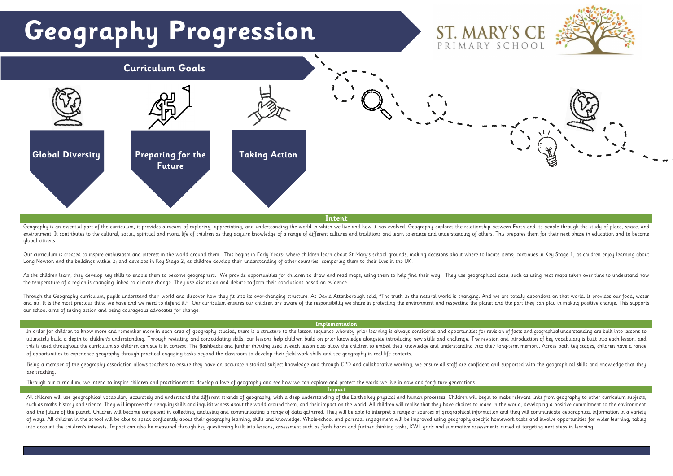

**Intent**

Geography is an essential part of the curriculum, it provides a means of exploring, appreciating, and understanding the world in which we live and how it has evolved. Geography explores the relationship between Earth and i environment. It contributes to the cultural, social, spiritual and moral life of children as they acquire knowledge of a range of different cultures and traditions and learn tolerance and understanding of others. This prep global citizens.

Our curriculum is created to inspire enthusiasm and interest in the world around them. This begins in Early Years: where children learn about St Mary's school grounds, making decisions about where to locate items; continue Long Newton and the buildings within it; and develops in Key Stage 2, as children develop their understanding of other countries, comparing them to their lives in the UK.

As the children learn, they develop key skills to enable them to become geographers. We provide opportunities for children to draw and read maps, using them to help find their way. They use geographical data, such as using the temperature of a region is changing linked to climate change. They use discussion and debate to form their conclusions based on evidence.

Through the Geography curriculum, pupils understand their world and discover how they fit into its ever-changing structure. As David Attenborough said, "The truth is: the natural world is changing. And we are totally depen and air. It is the most precious thing we have and we need to defend it." Our curriculum ensures our children are aware of the responsibility we share in protecting the environment and respecting the planet and the part th our school aims of taking action and being courageous advocates for change.

In order for children to know more and remember more in each area of geography studied, there is a structure to the lesson seguence whereby prior learning is always considered and opportunities for revision of facts and ge ultimately build a depth to children's understanding. Through revisiting and consolidating skills, our lessons help children build on prior knowledge alongside introducing new skills and challenge. The revision and introdu this is used throughout the curriculum so children can sue it in context. The flashbacks and further thinking used in each lesson also allow the children to embed their knowledge and understanding into their long-term memo of opportunities to experience geography through practical engaging tasks beyond the classroom to develop their field work skills and see geography in real life contexts.

Being a member of the geography association allows teachers to ensure they have an accurate historical subject knowledge and through CPD and collaborative working, we ensure all staff are confident and supported with the g are teaching.

### **Implementation**

Through our curriculum, we intend to inspire children and practitioners to develop a love of geography and see how we can explore and protect the world we live in now and for future generations.

**Impact**

All children will use geographical vocabulary accurately and understand the different strands of geography, with a deep understanding of the Earth's key physical and human processes. Children will begin to make relevant li such as maths, history and science. They will improve their enquiry skills and inquisitiveness about the world around them, and their impact on the world. All children will realise that they have choices to make in the wor and the future of the planet. Children will become competent in collecting, analysing and communicating a range of data gathered. They will be able to interpret a range of sources of geographical information and they will of ways. All children in the school will be able to speak confidently about their geography learning, skills and knowledge. Whole-school and parental engagement will be improved using geography-specific homework tasks and into account the children's interests. Impact can also be measured through key questioning built into lessons, assessment such as flash backs and further thinking tasks, KWL grids and summative assessments aimed at targeti





# **Geography Progression**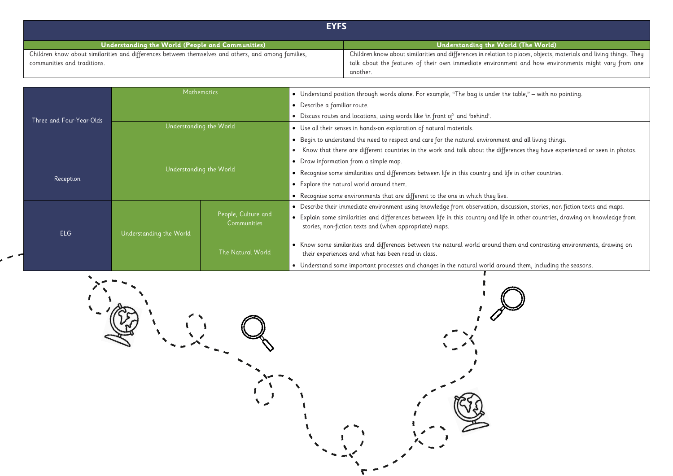|                                                                                                                                    | <b>EYFS</b>                                                                                                                                                  |  |
|------------------------------------------------------------------------------------------------------------------------------------|--------------------------------------------------------------------------------------------------------------------------------------------------------------|--|
| Understanding the World (People and Communities)                                                                                   | Understanding the World (The World)                                                                                                                          |  |
| Children know about similarities and differences between themselves and others, and among families,<br>communities and traditions. | Children know about similarities and differences in relation to places, objects, r<br>talk about the features of their own immediate environment and how env |  |
|                                                                                                                                    | another.                                                                                                                                                     |  |

|                          |                         | <b>Mathematics</b>                 |                                                                                                                                                                                                                                 |
|--------------------------|-------------------------|------------------------------------|---------------------------------------------------------------------------------------------------------------------------------------------------------------------------------------------------------------------------------|
|                          |                         |                                    | • Understand position through words alone. For example, "The bag is under the                                                                                                                                                   |
|                          |                         |                                    | • Describe a familiar route.                                                                                                                                                                                                    |
| Three and Four-Year-Olds |                         |                                    | • Discuss routes and locations, using words like 'in front of' and 'behind'.                                                                                                                                                    |
|                          | Understanding the World |                                    | • Use all their senses in hands-on exploration of natural materials.                                                                                                                                                            |
|                          |                         |                                    | • Begin to understand the need to respect and care for the natural environment                                                                                                                                                  |
|                          |                         |                                    | Know that there are different countries in the work and talk about the differ<br>$\bullet$                                                                                                                                      |
| Reception                | Understanding the World |                                    | • Draw information from a simple map.                                                                                                                                                                                           |
|                          |                         |                                    | • Recognise some similarities and differences between life in this country and life                                                                                                                                             |
|                          |                         |                                    | • Explore the natural world around them.                                                                                                                                                                                        |
|                          |                         |                                    | • Recognise some environments that are different to the one in which they live.                                                                                                                                                 |
| ELG                      | Understanding the World | People, Culture and<br>Communities | • Describe their immediate environment using knowledge from observation, disc<br>• Explain some similarities and differences between life in this country and life i<br>stories, non-fiction texts and (when appropriate) maps. |
|                          |                         | The Natural World                  | • Know some similarities and differences between the natural world around the<br>their experiences and what has been read in class.                                                                                             |
|                          |                         |                                    | • Understand some important processes and changes in the natural world aroun                                                                                                                                                    |



to places, objects, materials and living things. They talk and how environments might vary from one

table," – with no pointing.

erand all living things. rences they have experienced or seen in photos.

e in other countries.

tussion, stories, non-fiction texts and maps. in other countries, drawing on knowledge from

em and contrasting environments, drawing on

nd them, including the seasons.

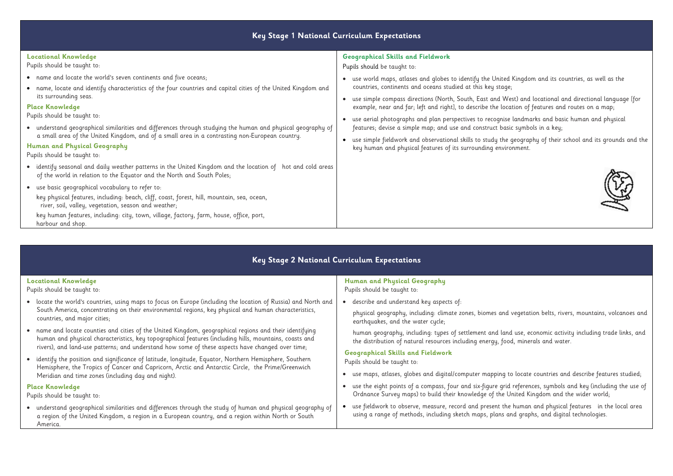# **Key Stage 1 National Curriculum Expectations**

| <b>Locational Knowledge</b>                                                                                                                                                                                                                                                                                                       | <b>Geographical Skills and Fieldwork</b>                                                                                                                                                                                                                                    |
|-----------------------------------------------------------------------------------------------------------------------------------------------------------------------------------------------------------------------------------------------------------------------------------------------------------------------------------|-----------------------------------------------------------------------------------------------------------------------------------------------------------------------------------------------------------------------------------------------------------------------------|
| Pupils should be taught to:                                                                                                                                                                                                                                                                                                       | Pupils should be taught to:                                                                                                                                                                                                                                                 |
| • name and locate the world's seven continents and five oceans;<br>name, locate and identify characteristics of the four countries and capital cities of the United Kingdom and                                                                                                                                                   | use world maps, atlases and globes to identify the United Kingdo<br>countries, continents and oceans studied at this key stage;                                                                                                                                             |
| its surrounding seas.<br><b>Place Knowledge</b><br>Pupils should be taught to:                                                                                                                                                                                                                                                    | use simple compass directions (North, South, East and West) and<br>example, near and far; left and right], to describe the location of                                                                                                                                      |
| understand geographical similarities and differences through studying the human and physical geography of<br>a small area of the United Kingdom, and of a small area in a contrasting non-European country.<br>Human and Physical Geography<br>Pupils should be taught to:                                                        | use aerial photographs and plan perspectives to recognise landme<br>features; devise a simple map; and use and construct basic symb<br>use simple fieldwork and observational skills to study the geogra<br>key human and physical features of its surrounding environment. |
| identify seasonal and daily weather patterns in the United Kingdom and the location of hot and cold areas<br>of the world in relation to the Equator and the North and South Poles;                                                                                                                                               |                                                                                                                                                                                                                                                                             |
| use basic geographical vocabulary to refer to:<br>$\bullet$<br>key physical features, including: beach, cliff, coast, forest, hill, mountain, sea, ocean,<br>river, soil, valley, vegetation, season and weather;<br>key human features, including: city, town, village, factory, farm, house, office, port,<br>harbour and shop. |                                                                                                                                                                                                                                                                             |

| <b>Locational Knowledge</b><br>Pupils should be taught to:                                                                                                                                                                                                                                                          | Human and Physical Geography<br>Pupils should be taught to:                                                                         |
|---------------------------------------------------------------------------------------------------------------------------------------------------------------------------------------------------------------------------------------------------------------------------------------------------------------------|-------------------------------------------------------------------------------------------------------------------------------------|
| locate the world's countries, using maps to focus on Europe (including the location of Russia) and North and<br>South America, concentrating on their environmental regions, key physical and human characteristics,                                                                                                | describe and understand key aspects of:<br>$\bullet$                                                                                |
| countries, and major cities;                                                                                                                                                                                                                                                                                        | physical geography, including: climate zones, biomes and<br>earthquakes, and the water cycle;                                       |
| name and locate counties and cities of the United Kingdom, geographical regions and their identifying<br>human and physical characteristics, key topographical features (including hills, mountains, coasts and<br>rivers), and land-use patterns; and understand how some of these aspects have changed over time; | human geography, including: types of settlement and land<br>the distribution of natural resources including energy, foo             |
| identify the position and significance of latitude, longitude, Equator, Northern Hemisphere, Southern<br>Hemisphere, the Tropics of Cancer and Capricorn, Arctic and Antarctic Circle, the Prime/Greenwich<br>Meridian and time zones (including day and night).                                                    | <b>Geographical Skills and Fieldwork</b><br>Pupils should be taught to:<br>use maps, atlases, globes and digital/computer mapping t |
| <b>Place Knowledge</b><br>Pupils should be taught to:                                                                                                                                                                                                                                                               | use the eight points of a compass, four and six-figure grid<br>Ordnance Survey maps) to build their knowledge of the U              |
| understand geographical similarities and differences through the study of human and physical geography of<br>a region of the United Kingdom, a region in a European country, and a region within North or South                                                                                                     | use fieldwork to observe, measure, record and present the<br>using a range of methods, including sketch maps, plans a               |

America.

. Kingdom and its countries, as well as the

est) and locational and directional language [for ation of features and routes on a map;  $\overline{\phantom{a}}$ 

landmarks and basic human and physical ic symbols in a key;

geography of their school and its grounds and the



l vegetation belts, rivers, mountains, volcanoes and

human geography, including trade links, and settilement activity including trade links, and intel od, minerals and water.

to locate countries and describe features studied;

l references, symbols and key (including the use of Inited Kingdom and the wider world;

 $e$  human and physical features  $\;$  in the local area  $\;$ and graphs, and digital technologies.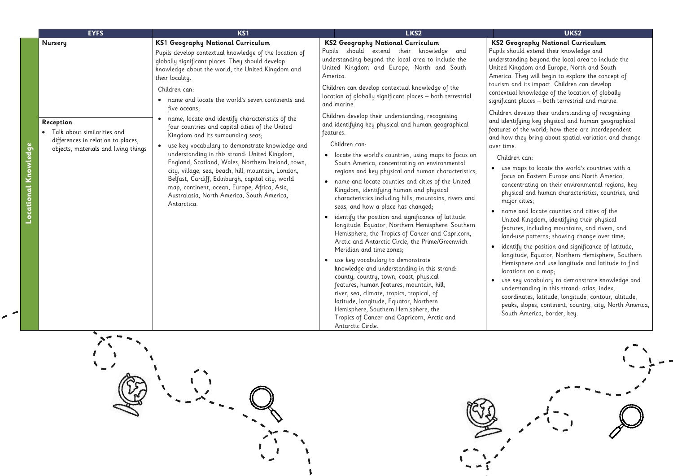key vocabulary to demonstrate knowledge and understanding in this strand: atlas, index,

rdinates, latitude, longitude, contour, altitude, ks, slopes, continent, country, city, North America, ith America, border, key.



| <b>EYFS</b>                                                                                                                                                                    | KS1                                                                                                                                                                                                                                                                                                                                                                                                                                                                                                                                                                                                                                                                                                                                                                                                                                                 | LKS2                                                                                                                                                                                                                                                                                                                                                                                                                                                                                                                                                                                                                                                                                                                                                                                                                                                                                                                                                                                                                                                                                                                                                                                                                                                                                                                                                                 | UKS2                                                                                                                                                                                                                                                                                                                                                                                                                                                                                                                                                                                                                                                                                                                                                                                                                                                                                                                                                                                                   |
|--------------------------------------------------------------------------------------------------------------------------------------------------------------------------------|-----------------------------------------------------------------------------------------------------------------------------------------------------------------------------------------------------------------------------------------------------------------------------------------------------------------------------------------------------------------------------------------------------------------------------------------------------------------------------------------------------------------------------------------------------------------------------------------------------------------------------------------------------------------------------------------------------------------------------------------------------------------------------------------------------------------------------------------------------|----------------------------------------------------------------------------------------------------------------------------------------------------------------------------------------------------------------------------------------------------------------------------------------------------------------------------------------------------------------------------------------------------------------------------------------------------------------------------------------------------------------------------------------------------------------------------------------------------------------------------------------------------------------------------------------------------------------------------------------------------------------------------------------------------------------------------------------------------------------------------------------------------------------------------------------------------------------------------------------------------------------------------------------------------------------------------------------------------------------------------------------------------------------------------------------------------------------------------------------------------------------------------------------------------------------------------------------------------------------------|--------------------------------------------------------------------------------------------------------------------------------------------------------------------------------------------------------------------------------------------------------------------------------------------------------------------------------------------------------------------------------------------------------------------------------------------------------------------------------------------------------------------------------------------------------------------------------------------------------------------------------------------------------------------------------------------------------------------------------------------------------------------------------------------------------------------------------------------------------------------------------------------------------------------------------------------------------------------------------------------------------|
| <b>Nursery</b><br>Reception<br>Talk about similarities and<br>differences in relation to places,<br>$\bullet$<br>objects, materials and living things<br>Knowledg<br>ocational | <b>KS1 Geography National Curriculum</b><br>Pupils develop contextual knowledge of the location of<br>globally significant places. They should develop<br>knowledge about the world, the United Kingdom and<br>their locality.<br>Children can:<br>• name and locate the world's seven continents and<br>five oceans;<br>name, locate and identify characteristics of the<br>four countries and capital cities of the United<br>Kingdom and its surrounding seas;<br>• use key vocabulary to demonstrate knowledge and<br>understanding in this strand: United Kingdom,<br>England, Scotland, Wales, Northern Ireland, town,<br>city, village, sea, beach, hill, mountain, London,<br>Belfast, Cardiff, Edinburgh, capital city, world<br>map, continent, ocean, Europe, Africa, Asia,<br>Australasia, North America, South America,<br>Antarctica. | <b>KS2 Geography National Curriculum</b><br>Pupils should extend their knowledge and<br>understanding beyond the local area to include the<br>United Kingdom and Europe, North and South<br>America.<br>Children can develop contextual knowledge of the<br>location of globally significant places - both terrestrial<br>and marine.<br>Children develop their understanding, recognising<br>and identifying key physical and human geographical<br>features.<br>Children can:<br>• locate the world's countries, using maps to focus on<br>South America, concentrating on environmental<br>regions and key physical and human characteristics;<br>name and locate counties and cities of the United<br>Kingdom, identifying human and physical<br>characteristics including hills, mountains, rivers and<br>seas, and how a place has changed;<br>identify the position and significance of latitude,<br>longitude, Equator, Northern Hemisphere, Southern<br>Hemisphere, the Tropics of Cancer and Capricorn,<br>Arctic and Antarctic Circle, the Prime/Greenwich<br>Meridian and time zones;<br>use key vocabulary to demonstrate<br>knowledge and understanding in this strand:<br>county, country, town, coast, physical<br>features, human features, mountain, hill,<br>river, sea, climate, tropics, tropical, of<br>latitude, longitude, Equator, Northern | <b>KS2 Geography National Cur</b><br>Pupils should extend their knowle<br>understanding beyond the local a<br>United Kingdom and Europe, Nor<br>America. They will begin to explo<br>tourism and its impact. Children o<br>contextual knowledge of the locat<br>significant places - both terrestric<br>Children develop their understand<br>and identifying key physical and I<br>features of the world; how these<br>and how they bring about spatial<br>over time.<br>Children can:<br>• use maps to locate the world<br>focus on Eastern Europe and<br>concentrating on their enviro<br>physical and human characte<br>major cities;<br>name and locate counties and<br>United Kingdom, identifying t<br>features, including mountains<br>land-use patterns; showing ch<br>identify the position and sign<br>longitude, Equator, Northern<br>Hemisphere and use longitud<br>locations on a map;<br>use key vocabulary to demon<br>understanding in this strand:<br>coordinates, latitude, longitud |





## **KS2 Geography National Curriculum**

rould extend their knowledge and anding beyond the local area to include the Kingdom and Europe, North and South . They will begin to explore the concept of and its impact. Children can develop al knowledge of the location of globally nt places – both terrestrial and marine.

develop their understanding of recognising ntifying key physical and human geographical of the world; how these are interdependent they bring about spatial variation and change le.

maps to locate the world's countries with a us on Eastern Europe and North America, centrating on their environmental regions, key sical and human characteristics, countries, and or cities;

ne and locate counties and cities of the ted Kingdom, identifying their physical tures, including mountains, and rivers, and d-use patterns; showing change over time;

rtify the position and significance of latitude, gitude, Equator, Northern Hemisphere, Southern nisphere and use longitude and latitude to find ations on a map;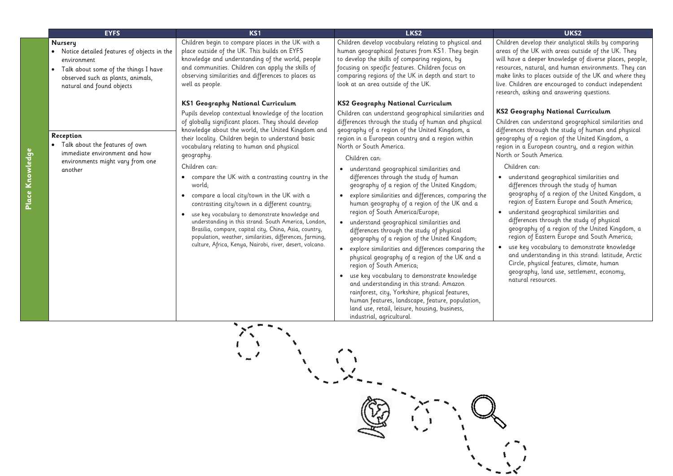**Place Knowledge**

Place Knowledge

dren develop their analytical skills by comparing of the UK with areas outside of the UK. They have a deeper knowledge of diverse places, people, irces, natural, and human environments. They can links to places outside of the UK and where they Children are encouraged to conduct independent arch, asking and answering questions.

### *<u>Seography National Curriculum</u>*

dren can understand geographical similarities and rences through the study of human and physical raphy of a region of the United Kingdom, a on in a European country, and a region within h or South America.

| <b>EYFS</b>                                                                                                                                                                             | KS1                                                                                                                                                                                                                                                                                                                                                                                                                                                                                                                                                                                                                                                                                                                                                                                   | LKS <sub>2</sub>                                                                                                                                                                                                                                                                                                                                                                                                                                                                                                                                                                                                                                                                                                                                                                                                                                                                                                                                                                                                                                                                                          | UKS2                                                                                                                                                                                                                                                                                                                                                                                                                                                                                                                                                                                                               |
|-----------------------------------------------------------------------------------------------------------------------------------------------------------------------------------------|---------------------------------------------------------------------------------------------------------------------------------------------------------------------------------------------------------------------------------------------------------------------------------------------------------------------------------------------------------------------------------------------------------------------------------------------------------------------------------------------------------------------------------------------------------------------------------------------------------------------------------------------------------------------------------------------------------------------------------------------------------------------------------------|-----------------------------------------------------------------------------------------------------------------------------------------------------------------------------------------------------------------------------------------------------------------------------------------------------------------------------------------------------------------------------------------------------------------------------------------------------------------------------------------------------------------------------------------------------------------------------------------------------------------------------------------------------------------------------------------------------------------------------------------------------------------------------------------------------------------------------------------------------------------------------------------------------------------------------------------------------------------------------------------------------------------------------------------------------------------------------------------------------------|--------------------------------------------------------------------------------------------------------------------------------------------------------------------------------------------------------------------------------------------------------------------------------------------------------------------------------------------------------------------------------------------------------------------------------------------------------------------------------------------------------------------------------------------------------------------------------------------------------------------|
| <b>Nursery</b><br>• Notice detailed features of objects in the<br>environment<br>Talk about some of the things I have<br>observed such as plants, animals,<br>natural and found objects | Children begin to compare places in the UK with a<br>place outside of the UK. This builds on EYFS<br>knowledge and understanding of the world, people<br>and communities. Children can apply the skills of<br>observing similarities and differences to places as<br>well as people.<br><b>KS1 Geography National Curriculum</b>                                                                                                                                                                                                                                                                                                                                                                                                                                                      | Children develop vocabulary relating to physical and<br>human geographical features from KS1. They begin<br>to develop the skills of comparing regions, by<br>focusing on specific features. Children focus on<br>comparing regions of the UK in depth and start to<br>look at an area outside of the UK.<br><b>KS2 Geography National Curriculum</b>                                                                                                                                                                                                                                                                                                                                                                                                                                                                                                                                                                                                                                                                                                                                                     | Children develop their analytice<br>areas of the UK with areas out<br>will have a deeper knowledge o<br>resources, natural, and human<br>make links to places outside of<br>live. Children are encouraged to<br>research, asking and answering                                                                                                                                                                                                                                                                                                                                                                     |
| Reception<br>Talk about the features of own<br>immediate environment and how<br>environments might vary from one<br>another                                                             | Pupils develop contextual knowledge of the location<br>of globally significant places. They should develop<br>knowledge about the world, the United Kingdom and<br>their locality. Children begin to understand basic<br>vocabulary relating to human and physical<br>geography.<br>Children can:<br>compare the UK with a contrasting country in the<br>world;<br>compare a local city/town in the UK with a<br>$\bullet$<br>contrasting city/town in a different country;<br>use key vocabulary to demonstrate knowledge and<br>$\bullet$<br>understanding in this strand: South America, London,<br>Brasilia, compare, capital city, China, Asia, country,<br>population, weather, similarities, differences, farming,<br>culture, Africa, Kenya, Nairobi, river, desert, volcano. | Children can understand geographical similarities and<br>differences through the study of human and physical<br>geography of a region of the United Kingdom, a<br>region in a European country and a region within<br>North or South America.<br>Children can:<br>understand geographical similarities and<br>differences through the study of human<br>geography of a region of the United Kingdom;<br>explore similarities and differences, comparing the<br>human geography of a region of the UK and a<br>region of South America/Europe;<br>understand geographical similarities and<br>differences through the study of physical<br>geography of a region of the United Kingdom;<br>explore similarities and differences comparing the<br>physical geography of a region of the UK and a<br>region of South America;<br>use key vocabulary to demonstrate knowledge<br>and understanding in this strand: Amazon<br>rainforest, city, Yorkshire, physical features,<br>human features, landscape, feature, population,<br>land use, retail, leisure, housing, business,<br>industrial, agricultural. | <b>KS2 Geography National C</b><br>Children can understand geogr<br>differences through the study o<br>geography of a region of the U<br>region in a European country,<br>North or South America.<br>Children can:<br>understand geographical s<br>differences through the stu<br>geography of a region of t<br>region of Eastern Europe a<br>understand geographical s<br>differences through the stu<br>geography of a region of t<br>region of Eastern Europe a<br>use key vocabulary to dem<br>and understanding in this<br>Circle, physical features, cl<br>geography, land use, settle<br>natural resources. |

- understand geographical similarities and differences through the study of human geography of a region of the United Kingdom, a region of Eastern Europe and South America;
- understand geographical similarities and differences through the study of physical geography of a region of the United Kingdom, a region of Eastern Europe and South America;
- use key vocabulary to demonstrate knowledge and understanding in this strand: latitude, Arctic Circle, physical features, climate, human geography, land use, settlement, economy, natural resources.

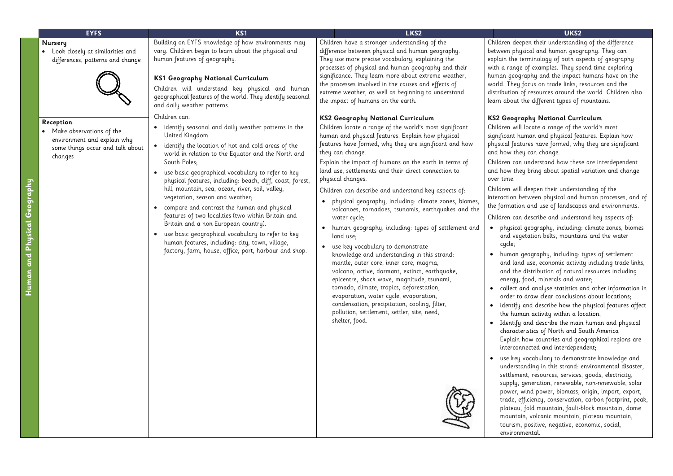• Look closely at similarities and

### **EYFS KS1 LKS2 UKS2 Nursery** differences, patterns and change Building on EYFS knowledge of how environments may vary. Children begin to learn about the physical and human features of geography. **KS1 Geography National Curriculum** Children will understand key physical and human geographical features of the world. They identify seasonal and daily weather patterns. Children can: • identify seasonal and daily weather patterns in the United Kingdom • identify the location of hot and cold areas of the world in relation to the Equator and the North and South Poles; • use basic geographical vocabulary to refer to key physical features, including: beach, cliff, coast, forest, hill, mountain, sea, ocean, river, soil, valley, vegetation, season and weather; • compare and contrast the human and physical features of two localities (two within Britain and Britain and a non-European country). • use basic geographical vocabulary to refer to key human features, including: city, town, village, factory, farm, house, office, port, harbour and shop. Children have a stronger understanding of the difference between physical and human geography. They use more precise vocabulary, explaining the processes of physical and human geography and their significance. They learn more about extreme weather, the processes involved in the causes and effects of extreme weather, as well as beginning to understand the impact of humans on the earth. **KS2 Geography National Curriculum** Children locate a range of the world's most significant human and physical features. Explain how physical features have formed, why they are significant and how they can change. Explain the impact of humans on the earth in terms of land use, settlements and their direct connection to physical changes. Children can describe and understand key aspects of: • physical geography, including: climate zones, biomes, volcanoes, tornadoes, tsunamis, earthquakes and the water cycle; • human geography, including: types of settlement and land use; • use key vocabulary to demonstrate knowledge and understanding in this strand: mantle, outer core, inner core, magma, volcano, active, dormant, extinct, earthquake, epicentre, shock wave, magnitude, tsunami, tornado, climate, tropics, deforestation, evaporation, water cycle, evaporation, condensation, precipitation, cooling, filter, pollution, settlement, settler, site, need, shelter, food. Children deepen their understanding of the difference learn about the different types of mountains. **KS2 Geography National Curriculum** Children will locate a range of the world's most and how they can change. over time. Children will deepen their understanding of the cycle; energy, food, minerals and water; the human activity within a location; interconnected and interdependent; **Reception** environment and explain why some things occur and talk about changes

between physical and human geography. They can explain the terminology of both aspects of geography with a range of examples. They spend time exploring human geography and the impact humans have on the world. They focus on trade links, resources and the distribution of resources around the world. Children also

significant human and physical features. Explain how physical features have formed, why they are significant

Children can understand how these are interdependent and how they bring about spatial variation and change

interaction between physical and human processes, and of the formation and use of landscapes and environments.

Children can describe and understand key aspects of:

• physical geography, including: climate zones, biomes and vegetation belts, mountains and the water

• human geography, including: types of settlement and land use, economic activity including trade links, and the distribution of natural resources including

• collect and analyse statistics and other information in order to draw clear conclusions about locations;

identify and describe how the physical features affect

• Identify and describe the main human and physical characteristics of North and South America Explain how countries and geographical regions are

• use key vocabulary to demonstrate knowledge and understanding in this strand: environmental disaster, settlement, resources, services, goods, electricity, supply, generation, renewable, non-renewable, solar power, wind power, biomass, origin, import, export, trade, efficiency, conservation, carbon footprint, peak, plateau, fold mountain, fault-block mountain, dome mountain, volcanic mountain, plateau mountain, tourism, positive, negative, economic, social, environmental.

• Make observations of the